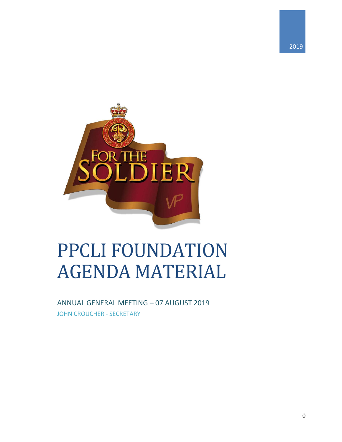



# **PPCLI FOUNDATION AGENDA MATERIAL**

ANNUAL GENERAL MEETING - 07 AUGUST 2019 **JOHN CROUCHER - SECRETARY**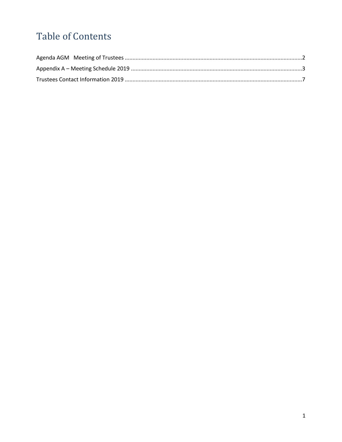## **Table of Contents**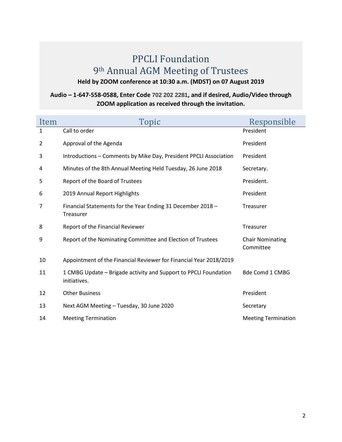### PPCLI Foundation th Annual AGM Meeting of Trustees

**Held by ZOOM conference at 10:30 a.m. (MDST) on 07 August 2019**

#### **Audio – 1-647-558-0588, Enter Code 702 202 2281, and if desired, Audio/Video through ZOOM application as received through the invitation.**

| Item           | Topic                                                                            | Responsible                          |
|----------------|----------------------------------------------------------------------------------|--------------------------------------|
| 1              | Call to order                                                                    | President                            |
| 2              | Approval of the Agenda                                                           | President                            |
| 3              | Introductions - Comments by Mike Day, President PPCLI Association                | President                            |
| 4              | Minutes of the 8th Annual Meeting Held Tuesday, 26 June 2018                     | Secretary.                           |
| 5              | Report of the Board of Trustees                                                  | President.                           |
| 6              | 2019 Annual Report Highlights                                                    | President                            |
| $\overline{7}$ | Financial Statements for the Year Ending 31 December 2018 -<br>Treasurer         | Treasurer                            |
| 8              | Report of the Financial Reviewer                                                 | Treasurer                            |
| 9              | Report of the Nominating Committee and Election of Trustees                      | <b>Chair Nominating</b><br>Committee |
| 10             | Appointment of the Financial Reviewer for Financial Year 2018/2019               |                                      |
| 11             | 1 CMBG Update - Brigade activity and Support to PPCLI Foundation<br>initiatives. | <b>Bde Comd 1 CMBG</b>               |
| 12             | <b>Other Business</b>                                                            | President                            |
| 13             | Next AGM Meeting - Tuesday, 30 June 2020                                         | Secretary                            |
| 14             | <b>Meeting Termination</b>                                                       | <b>Meeting Termination</b>           |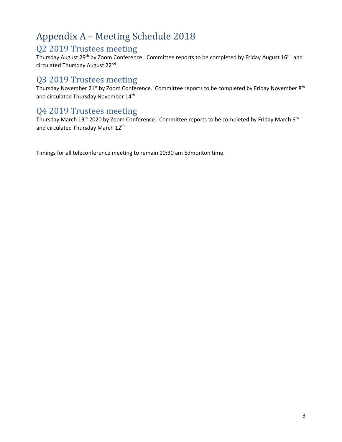## <span id="page-3-0"></span>Appendix A – Meeting Schedule 2018

#### Q2 2019 Trustees meeting

Thursday August 29<sup>th</sup> by Zoom Conference. Committee reports to be completed by Friday August 16<sup>th</sup> and circulated Thursday August 22<sup>nd</sup>.

#### Q3 2019 Trustees meeting

Thursday November 21<sup>st</sup> by Zoom Conference. Committee reports to be completed by Friday November 8<sup>th</sup> and circulated Thursday November 14<sup>th</sup>

#### Q4 2019 Trustees meeting

Thursday March 19<sup>th</sup> 2020 by Zoom Conference. Committee reports to be completed by Friday March 6<sup>th</sup> and circulated Thursday March 12<sup>th</sup>

Timings for all teleconference meeting to remain 10:30 am Edmonton time.